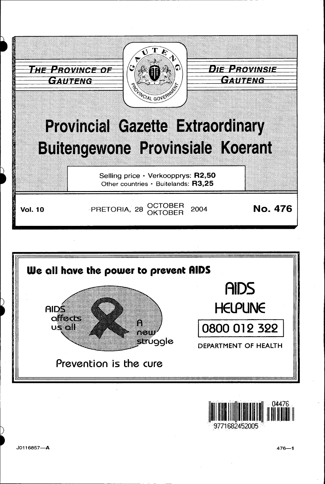





J0116857-A

 $476 - 1$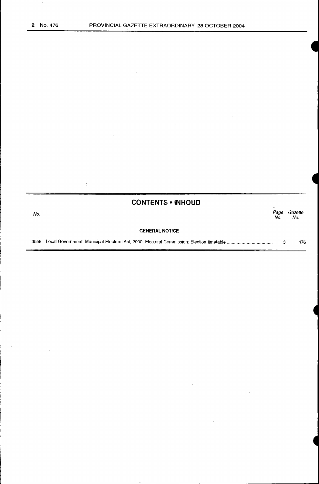é

 $\hat{\vec{r}}$ 

 $\overline{\phantom{a}}$ 

 $\overline{\phantom{a}}$ 

T,

|      | <b>CONTENTS • INHOUD</b> |             |                |
|------|--------------------------|-------------|----------------|
| No.  |                          | Page<br>No. | Gazette<br>No. |
|      | <b>GENERAL NOTICE</b>    |             |                |
| 3559 |                          | з           | 476            |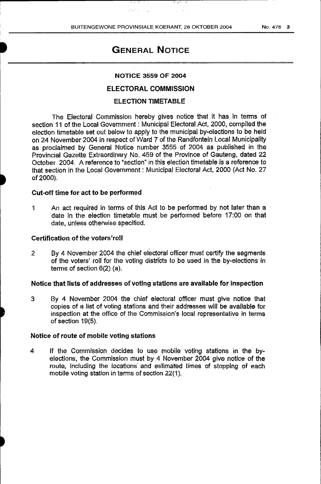I • ;

23 March

# GENERAL NOTICE

#### NOTICE 3559 OF 2004

# ELECTORAL COMMISSION

# ELECTION TIMETABLE

The Electoral Commission hereby gives notice that it has in terms of section 11 of the Local Government : Municipal Electoral Act, 2000, compiled the election timetable set out below to apply to the municipal by-elections to be held on 24 November 2004 in respect of Ward 7 of the Randfontein Local Municipality as proclaimed by General Notice number 3555 of 2004 as published in the Provincial Gazette Extraordinary No. 459 of the Province of Gauteng, dated 22 October 2004. A reference to "section" in this election timetable is a reference to that section in the Local Government : Municipal Electoral Act, 2000 (Act No. 27 of2000).

### Cut-off time for act to be performed

1 An act required in terms of this Act to be performed by not later than a date in the election timetable must be performed before 17:00 on that date, unless otherwise specified.

#### Certification of the voters'roll

2 By 4 November 2004 the chief electoral officer must certify the segments of the voters' roll for the voting districts to be used in the by-elections in terms of section 6(2) (a).

# Notice that lists of addresses of voting stations are available for inspection

3 By 4 November 2004 the chief electoral officer must give notice that copies of a list of voting stations and their addresses will be available for inspection at the office of the Commission's local representative in terms of section 19(5).

#### Notice of route of mobile voting stations

4 If the Commission decides to use mobile voting stations in the byelections, the Commission must' by *A* November 2004 give notice of the route, including the locations· and estimated times of stopping of each mobile voting station in terms of section 22(1).